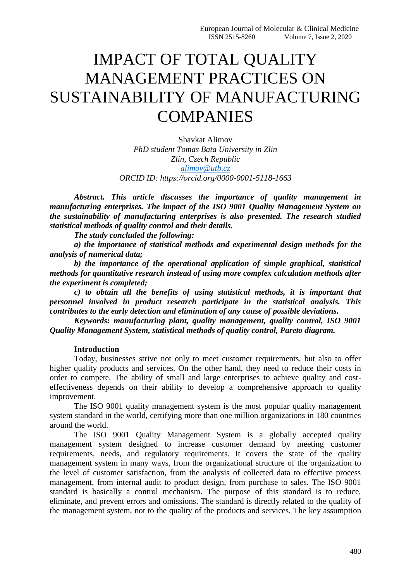# IMPACT OF TOTAL QUALITY MANAGEMENT PRACTICES ON SUSTAINABILITY OF MANUFACTURING **COMPANIES**

Shavkat Alimov *PhD student Tomas Bata University in Zlin Zlin, Czech Republic [alimov@utb.cz](mailto:alimov@utb.cz) ORCID ID: https://orcid.org/0000-0001-5118-1663*

*Abstract. This article discusses the importance of quality management in manufacturing enterprises. The impact of the ISO 9001 Quality Management System on the sustainability of manufacturing enterprises is also presented. The research studied statistical methods of quality control and their details.*

*The study concluded the following:*

*a) the importance of statistical methods and experimental design methods for the analysis of numerical data;*

*b) the importance of the operational application of simple graphical, statistical methods for quantitative research instead of using more complex calculation methods after the experiment is completed;*

*c) to obtain all the benefits of using statistical methods, it is important that personnel involved in product research participate in the statistical analysis. This contributes to the early detection and elimination of any cause of possible deviations.*

*Keywords: manufacturing plant, quality management, quality control, ISO 9001 Quality Management System, statistical methods of quality control, Pareto diagram.*

## **Introduction**

Today, businesses strive not only to meet customer requirements, but also to offer higher quality products and services. On the other hand, they need to reduce their costs in order to compete. The ability of small and large enterprises to achieve quality and costeffectiveness depends on their ability to develop a comprehensive approach to quality improvement.

The ISO 9001 quality management system is the most popular quality management system standard in the world, certifying more than one million organizations in 180 countries around the world.

The ISO 9001 Quality Management System is a globally accepted quality management system designed to increase customer demand by meeting customer requirements, needs, and regulatory requirements. It covers the state of the quality management system in many ways, from the organizational structure of the organization to the level of customer satisfaction, from the analysis of collected data to effective process management, from internal audit to product design, from purchase to sales. The ISO 9001 standard is basically a control mechanism. The purpose of this standard is to reduce, eliminate, and prevent errors and omissions. The standard is directly related to the quality of the management system, not to the quality of the products and services. The key assumption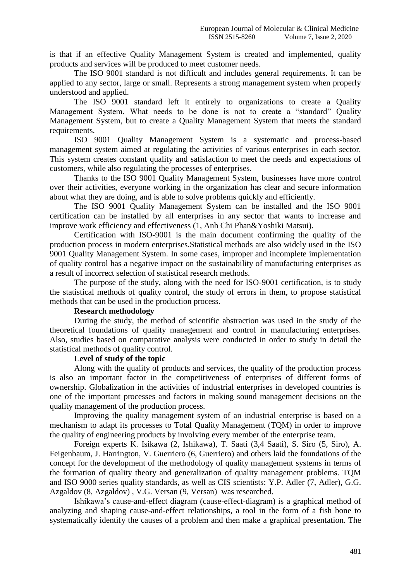is that if an effective Quality Management System is created and implemented, quality products and services will be produced to meet customer needs.

The ISO 9001 standard is not difficult and includes general requirements. It can be applied to any sector, large or small. Represents a strong management system when properly understood and applied.

The ISO 9001 standard left it entirely to organizations to create a Quality Management System. What needs to be done is not to create a "standard" Quality Management System, but to create a Quality Management System that meets the standard requirements.

ISO 9001 Quality Management System is a systematic and process-based management system aimed at regulating the activities of various enterprises in each sector. This system creates constant quality and satisfaction to meet the needs and expectations of customers, while also regulating the processes of enterprises.

Thanks to the ISO 9001 Quality Management System, businesses have more control over their activities, everyone working in the organization has clear and secure information about what they are doing, and is able to solve problems quickly and efficiently.

The ISO 9001 Quality Management System can be installed and the ISO 9001 certification can be installed by all enterprises in any sector that wants to increase and improve work efficiency and effectiveness (1, Anh Chi Phan&Yoshiki Matsui).

Certification with ISO-9001 is the main document confirming the quality of the production process in modern enterprises.Statistical methods are also widely used in the ISO 9001 Quality Management System. In some cases, improper and incomplete implementation of quality control has a negative impact on the sustainability of manufacturing enterprises as a result of incorrect selection of statistical research methods.

The purpose of the study, along with the need for ISO-9001 certification, is to study the statistical methods of quality control, the study of errors in them, to propose statistical methods that can be used in the production process.

#### **Research methodology**

During the study, the method of scientific abstraction was used in the study of the theoretical foundations of quality management and control in manufacturing enterprises. Also, studies based on comparative analysis were conducted in order to study in detail the statistical methods of quality control.

# **Level of study of the topic**

Along with the quality of products and services, the quality of the production process is also an important factor in the competitiveness of enterprises of different forms of ownership. Globalization in the activities of industrial enterprises in developed countries is one of the important processes and factors in making sound management decisions on the quality management of the production process.

Improving the quality management system of an industrial enterprise is based on a mechanism to adapt its processes to Total Quality Management (TQM) in order to improve the quality of engineering products by involving every member of the enterprise team.

Foreign experts K. Isikawa (2, Ishikawa), T. Saati (3,4 Saati), S. Siro (5, Siro), A. Feigenbaum, J. Harrington, V. Guerriero (6, Guerriero) and others laid the foundations of the concept for the development of the methodology of quality management systems in terms of the formation of quality theory and generalization of quality management problems. TQM and ISO 9000 series quality standards, as well as CIS scientists: Y.P. Adler (7, Adler), G.G. Azgaldov (8, Azgaldov) , V.G. Versan (9, Versan) was researched.

Ishikawa's cause-and-effect diagram (cause-effect-diagram) is a graphical method of analyzing and shaping cause-and-effect relationships, a tool in the form of a fish bone to systematically identify the causes of a problem and then make a graphical presentation. The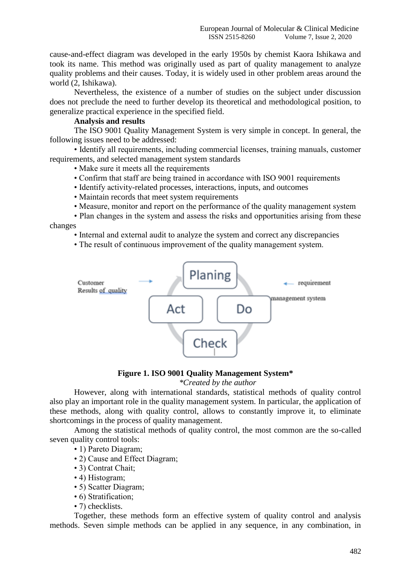cause-and-effect diagram was developed in the early 1950s by chemist Kaora Ishikawa and took its name. This method was originally used as part of quality management to analyze quality problems and their causes. Today, it is widely used in other problem areas around the world (2, Ishikawa).

Nevertheless, the existence of a number of studies on the subject under discussion does not preclude the need to further develop its theoretical and methodological position, to generalize practical experience in the specified field.

#### **Analysis and results**

The ISO 9001 Quality Management System is very simple in concept. In general, the following issues need to be addressed:

• Identify all requirements, including commercial licenses, training manuals, customer requirements, and selected management system standards

• Make sure it meets all the requirements

- Confirm that staff are being trained in accordance with ISO 9001 requirements
- Identify activity-related processes, interactions, inputs, and outcomes
- Maintain records that meet system requirements
- Measure, monitor and report on the performance of the quality management system
- Plan changes in the system and assess the risks and opportunities arising from these changes
	- Internal and external audit to analyze the system and correct any discrepancies
	- The result of continuous improvement of the quality management system.



## **Figure 1. ISO 9001 Quality Management System\***

## *\*Created by the author*

However, along with international standards, statistical methods of quality control also play an important role in the quality management system. In particular, the application of these methods, along with quality control, allows to constantly improve it, to eliminate shortcomings in the process of quality management.

Among the statistical methods of quality control, the most common are the so-called seven quality control tools:

- 1) Pareto Diagram;
- 2) Cause and Effect Diagram;
- 3) Contrat Chait;
- 4) Histogram;
- 5) Scatter Diagram;
- 6) Stratification;
- 7) checklists.

Together, these methods form an effective system of quality control and analysis methods. Seven simple methods can be applied in any sequence, in any combination, in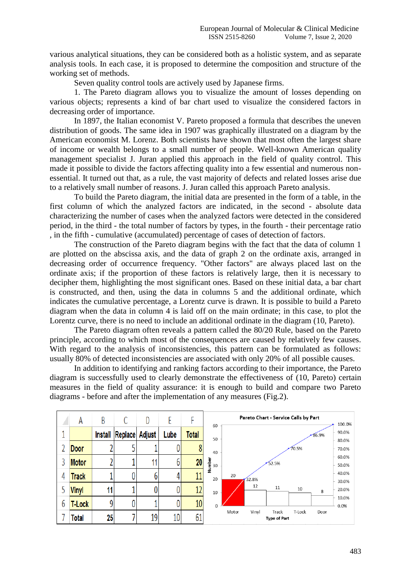various analytical situations, they can be considered both as a holistic system, and as separate analysis tools. In each case, it is proposed to determine the composition and structure of the working set of methods.

Seven quality control tools are actively used by Japanese firms.

1. The Pareto diagram allows you to visualize the amount of losses depending on various objects; represents a kind of bar chart used to visualize the considered factors in decreasing order of importance.

In 1897, the Italian economist V. Pareto proposed a formula that describes the uneven distribution of goods. The same idea in 1907 was graphically illustrated on a diagram by the American economist M. Lorenz. Both scientists have shown that most often the largest share of income or wealth belongs to a small number of people. Well-known American quality management specialist J. Juran applied this approach in the field of quality control. This made it possible to divide the factors affecting quality into a few essential and numerous nonessential. It turned out that, as a rule, the vast majority of defects and related losses arise due to a relatively small number of reasons. J. Juran called this approach Pareto analysis.

To build the Pareto diagram, the initial data are presented in the form of a table, in the first column of which the analyzed factors are indicated, in the second - absolute data characterizing the number of cases when the analyzed factors were detected in the considered period, in the third - the total number of factors by types, in the fourth - their percentage ratio , in the fifth - cumulative (accumulated) percentage of cases of detection of factors.

The construction of the Pareto diagram begins with the fact that the data of column 1 are plotted on the abscissa axis, and the data of graph 2 on the ordinate axis, arranged in decreasing order of occurrence frequency. "Other factors" are always placed last on the ordinate axis; if the proportion of these factors is relatively large, then it is necessary to decipher them, highlighting the most significant ones. Based on these initial data, a bar chart is constructed, and then, using the data in columns 5 and the additional ordinate, which indicates the cumulative percentage, a Lorentz curve is drawn. It is possible to build a Pareto diagram when the data in column 4 is laid off on the main ordinate; in this case, to plot the Lorentz curve, there is no need to include an additional ordinate in the diagram (10, Pareto).

The Pareto diagram often reveals a pattern called the 80/20 Rule, based on the Pareto principle, according to which most of the consequences are caused by relatively few causes. With regard to the analysis of inconsistencies, this pattern can be formulated as follows: usually 80% of detected inconsistencies are associated with only 20% of all possible causes.

In addition to identifying and ranking factors according to their importance, the Pareto diagram is successfully used to clearly demonstrate the effectiveness of (10, Pareto) certain measures in the field of quality assurance: it is enough to build and compare two Pareto diagrams - before and after the implementation of any measures (Fig.2).

|   | A             | B       |         | D      |                 |                 |              |                | Pareto Chart - Service Calls by Part |        |       | 100.0%         |
|---|---------------|---------|---------|--------|-----------------|-----------------|--------------|----------------|--------------------------------------|--------|-------|----------------|
|   |               | Install | Replace | Adjust | Lube            | <b>Total</b>    | 60<br>50     |                |                                      |        | 86.9% | 90.0%          |
|   | Door          |         |         |        |                 | 8               | 40           | 70.5%<br>52.5% |                                      |        |       | 80.0%<br>70.0% |
|   | <b>Motor</b>  |         |         |        | b               | 20              | Number<br>30 |                |                                      |        |       | 60.0%<br>50.0% |
| 4 | <b>Track</b>  |         |         |        | 4               | 11              | 20           | 20<br>32.8%    |                                      |        |       | 40.0%<br>30.0% |
|   | <b>Vinyl</b>  | 11      |         |        |                 | 12              | 10           | 12             | 11                                   | 10     | 8     | 20.0%          |
| b | <b>T-Lock</b> | q       | 0       |        |                 | 10 <sup>1</sup> | $\Omega$     |                |                                      |        |       | 10.0%<br>0.0%  |
|   | <b>Total</b>  | 25      |         | 19     | 10 <sup>1</sup> | 61              |              | Vinyl<br>Motor | Track<br><b>Type of Part</b>         | T-Lock | Door  |                |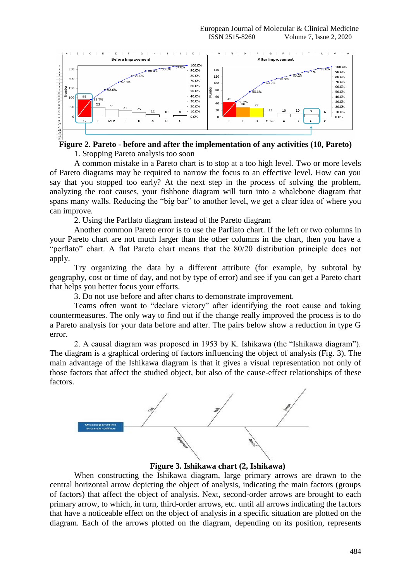

# **Figure 2. Pareto - before and after the implementation of any activities (10, Pareto)**

1. Stopping Pareto analysis too soon

A common mistake in a Pareto chart is to stop at a too high level. Two or more levels of Pareto diagrams may be required to narrow the focus to an effective level. How can you say that you stopped too early? At the next step in the process of solving the problem, analyzing the root causes, your fishbone diagram will turn into a whalebone diagram that spans many walls. Reducing the "big bar" to another level, we get a clear idea of where you can improve.

2. Using the Parflato diagram instead of the Pareto diagram

Another common Pareto error is to use the Parflato chart. If the left or two columns in your Pareto chart are not much larger than the other columns in the chart, then you have a "perflato" chart. A flat Pareto chart means that the 80/20 distribution principle does not apply.

Try organizing the data by a different attribute (for example, by subtotal by geography, cost or time of day, and not by type of error) and see if you can get a Pareto chart that helps you better focus your efforts.

3. Do not use before and after charts to demonstrate improvement.

Teams often want to "declare victory" after identifying the root cause and taking countermeasures. The only way to find out if the change really improved the process is to do a Pareto analysis for your data before and after. The pairs below show a reduction in type G error.

2. A causal diagram was proposed in 1953 by K. Ishikawa (the "Ishikawa diagram"). The diagram is a graphical ordering of factors influencing the object of analysis (Fig. 3). The main advantage of the Ishikawa diagram is that it gives a visual representation not only of those factors that affect the studied object, but also of the cause-effect relationships of these factors.



**Figure 3. Ishikawa chart (2, Ishikawa)**

When constructing the Ishikawa diagram, large primary arrows are drawn to the central horizontal arrow depicting the object of analysis, indicating the main factors (groups of factors) that affect the object of analysis. Next, second-order arrows are brought to each primary arrow, to which, in turn, third-order arrows, etc. until all arrows indicating the factors that have a noticeable effect on the object of analysis in a specific situation are plotted on the diagram. Each of the arrows plotted on the diagram, depending on its position, represents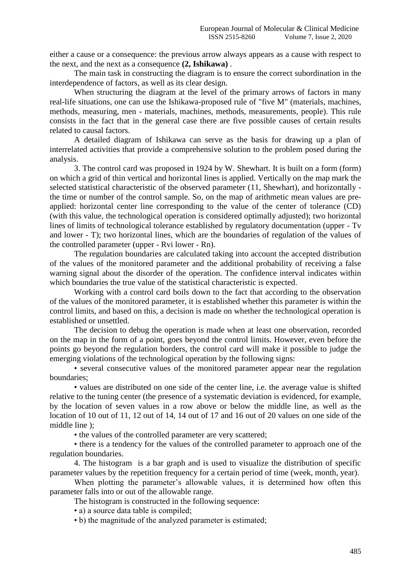either a cause or a consequence: the previous arrow always appears as a cause with respect to the next, and the next as a consequence **(2, Ishikawa)** .

The main task in constructing the diagram is to ensure the correct subordination in the interdependence of factors, as well as its clear design.

When structuring the diagram at the level of the primary arrows of factors in many real-life situations, one can use the Ishikawa-proposed rule of "five M" (materials, machines, methods, measuring, men - materials, machines, methods, measurements, people). This rule consists in the fact that in the general case there are five possible causes of certain results related to causal factors.

A detailed diagram of Ishikawa can serve as the basis for drawing up a plan of interrelated activities that provide a comprehensive solution to the problem posed during the analysis.

3. The control card was proposed in 1924 by W. Shewhart. It is built on a form (form) on which a grid of thin vertical and horizontal lines is applied. Vertically on the map mark the selected statistical characteristic of the observed parameter (11, Shewhart), and horizontally the time or number of the control sample. So, on the map of arithmetic mean values are preapplied: horizontal center line corresponding to the value of the center of tolerance (CD) (with this value, the technological operation is considered optimally adjusted); two horizontal lines of limits of technological tolerance established by regulatory documentation (upper - Tv and lower - T); two horizontal lines, which are the boundaries of regulation of the values of the controlled parameter (upper - Rvi lower - Rn).

The regulation boundaries are calculated taking into account the accepted distribution of the values of the monitored parameter and the additional probability of receiving a false warning signal about the disorder of the operation. The confidence interval indicates within which boundaries the true value of the statistical characteristic is expected.

Working with a control card boils down to the fact that according to the observation of the values of the monitored parameter, it is established whether this parameter is within the control limits, and based on this, a decision is made on whether the technological operation is established or unsettled.

The decision to debug the operation is made when at least one observation, recorded on the map in the form of a point, goes beyond the control limits. However, even before the points go beyond the regulation borders, the control card will make it possible to judge the emerging violations of the technological operation by the following signs:

• several consecutive values of the monitored parameter appear near the regulation boundaries;

• values are distributed on one side of the center line, i.e. the average value is shifted relative to the tuning center (the presence of a systematic deviation is evidenced, for example, by the location of seven values in a row above or below the middle line, as well as the location of 10 out of 11, 12 out of 14, 14 out of 17 and 16 out of 20 values on one side of the middle line );

• the values of the controlled parameter are very scattered;

• there is a tendency for the values of the controlled parameter to approach one of the regulation boundaries.

4. The histogram is a bar graph and is used to visualize the distribution of specific parameter values by the repetition frequency for a certain period of time (week, month, year).

When plotting the parameter's allowable values, it is determined how often this parameter falls into or out of the allowable range.

The histogram is constructed in the following sequence:

• a) a source data table is compiled;

• b) the magnitude of the analyzed parameter is estimated;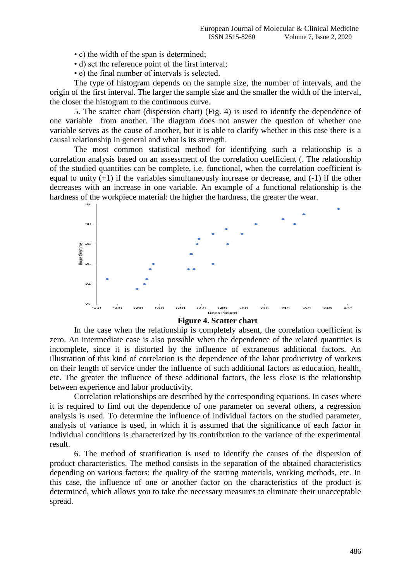- c) the width of the span is determined;
- d) set the reference point of the first interval;
- e) the final number of intervals is selected.

The type of histogram depends on the sample size, the number of intervals, and the origin of the first interval. The larger the sample size and the smaller the width of the interval, the closer the histogram to the continuous curve.

5. The scatter chart (dispersion chart) (Fig. 4) is used to identify the dependence of one variable from another. The diagram does not answer the question of whether one variable serves as the cause of another, but it is able to clarify whether in this case there is a causal relationship in general and what is its strength.

The most common statistical method for identifying such a relationship is a correlation analysis based on an assessment of the correlation coefficient (. The relationship of the studied quantities can be complete, i.e. functional, when the correlation coefficient is equal to unity  $(+1)$  if the variables simultaneously increase or decrease, and  $(-1)$  if the other decreases with an increase in one variable. An example of a functional relationship is the hardness of the workpiece material: the higher the hardness, the greater the wear.



#### **Figure 4. Scatter chart**

In the case when the relationship is completely absent, the correlation coefficient is zero. An intermediate case is also possible when the dependence of the related quantities is incomplete, since it is distorted by the influence of extraneous additional factors. An illustration of this kind of correlation is the dependence of the labor productivity of workers on their length of service under the influence of such additional factors as education, health, etc. The greater the influence of these additional factors, the less close is the relationship between experience and labor productivity.

Correlation relationships are described by the corresponding equations. In cases where it is required to find out the dependence of one parameter on several others, a regression analysis is used. To determine the influence of individual factors on the studied parameter, analysis of variance is used, in which it is assumed that the significance of each factor in individual conditions is characterized by its contribution to the variance of the experimental result.

6. The method of stratification is used to identify the causes of the dispersion of product characteristics. The method consists in the separation of the obtained characteristics depending on various factors: the quality of the starting materials, working methods, etc. In this case, the influence of one or another factor on the characteristics of the product is determined, which allows you to take the necessary measures to eliminate their unacceptable spread.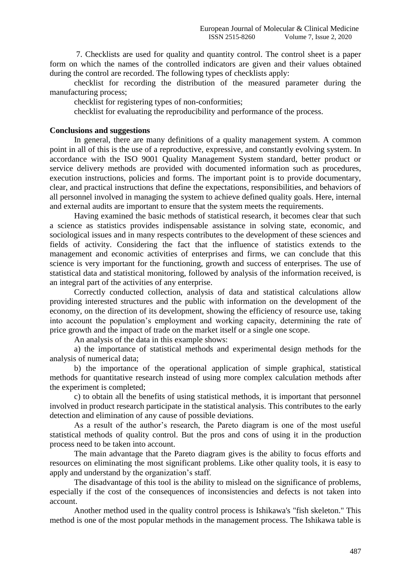7. Checklists are used for quality and quantity control. The control sheet is a paper form on which the names of the controlled indicators are given and their values obtained during the control are recorded. The following types of checklists apply:

checklist for recording the distribution of the measured parameter during the manufacturing process;

checklist for registering types of non-conformities;

checklist for evaluating the reproducibility and performance of the process.

#### **Conclusions and suggestions**

In general, there are many definitions of a quality management system. A common point in all of this is the use of a reproductive, expressive, and constantly evolving system. In accordance with the ISO 9001 Quality Management System standard, better product or service delivery methods are provided with documented information such as procedures, execution instructions, policies and forms. The important point is to provide documentary, clear, and practical instructions that define the expectations, responsibilities, and behaviors of all personnel involved in managing the system to achieve defined quality goals. Here, internal and external audits are important to ensure that the system meets the requirements.

Having examined the basic methods of statistical research, it becomes clear that such a science as statistics provides indispensable assistance in solving state, economic, and sociological issues and in many respects contributes to the development of these sciences and fields of activity. Considering the fact that the influence of statistics extends to the management and economic activities of enterprises and firms, we can conclude that this science is very important for the functioning, growth and success of enterprises. The use of statistical data and statistical monitoring, followed by analysis of the information received, is an integral part of the activities of any enterprise.

Correctly conducted collection, analysis of data and statistical calculations allow providing interested structures and the public with information on the development of the economy, on the direction of its development, showing the efficiency of resource use, taking into account the population's employment and working capacity, determining the rate of price growth and the impact of trade on the market itself or a single one scope.

An analysis of the data in this example shows:

a) the importance of statistical methods and experimental design methods for the analysis of numerical data;

b) the importance of the operational application of simple graphical, statistical methods for quantitative research instead of using more complex calculation methods after the experiment is completed;

c) to obtain all the benefits of using statistical methods, it is important that personnel involved in product research participate in the statistical analysis. This contributes to the early detection and elimination of any cause of possible deviations.

As a result of the author's research, the Pareto diagram is one of the most useful statistical methods of quality control. But the pros and cons of using it in the production process need to be taken into account.

The main advantage that the Pareto diagram gives is the ability to focus efforts and resources on eliminating the most significant problems. Like other quality tools, it is easy to apply and understand by the organization's staff.

The disadvantage of this tool is the ability to mislead on the significance of problems, especially if the cost of the consequences of inconsistencies and defects is not taken into account.

Another method used in the quality control process is Ishikawa's "fish skeleton." This method is one of the most popular methods in the management process. The Ishikawa table is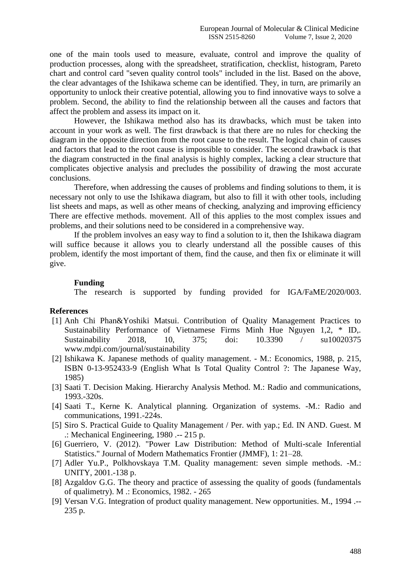one of the main tools used to measure, evaluate, control and improve the quality of production processes, along with the spreadsheet, stratification, checklist, histogram, Pareto chart and control card "seven quality control tools" included in the list. Based on the above, the clear advantages of the Ishikawa scheme can be identified. They, in turn, are primarily an opportunity to unlock their creative potential, allowing you to find innovative ways to solve a problem. Second, the ability to find the relationship between all the causes and factors that affect the problem and assess its impact on it.

However, the Ishikawa method also has its drawbacks, which must be taken into account in your work as well. The first drawback is that there are no rules for checking the diagram in the opposite direction from the root cause to the result. The logical chain of causes and factors that lead to the root cause is impossible to consider. The second drawback is that the diagram constructed in the final analysis is highly complex, lacking a clear structure that complicates objective analysis and precludes the possibility of drawing the most accurate conclusions.

Therefore, when addressing the causes of problems and finding solutions to them, it is necessary not only to use the Ishikawa diagram, but also to fill it with other tools, including list sheets and maps, as well as other means of checking, analyzing and improving efficiency There are effective methods. movement. All of this applies to the most complex issues and problems, and their solutions need to be considered in a comprehensive way.

If the problem involves an easy way to find a solution to it, then the Ishikawa diagram will suffice because it allows you to clearly understand all the possible causes of this problem, identify the most important of them, find the cause, and then fix or eliminate it will give.

#### **Funding**

The research is supported by funding provided for IGA/FaME/2020/003.

#### **References**

- [1] Anh Chi Phan&Yoshiki Matsui. Contribution of Quality Management Practices to Sustainability Performance of Vietnamese Firms Minh Hue Nguyen 1,2, \* ID,. Sustainability 2018, 10, 375; doi: 10.3390 / su10020375 www.mdpi.com/journal/sustainability
- [2] Ishikawa K. Japanese methods of quality management. M.: Economics, 1988, p. 215, ISBN 0-13-952433-9 (English What Is Total Quality Control ?: The Japanese Way, 1985)
- [3] Saati T. Decision Making. Hierarchy Analysis Method. M.: Radio and communications, 1993.-320s.
- [4] Saati T., Kerne K. Analytical planning. Organization of systems. -M.: Radio and communications, 1991.-224s.
- [5] Siro S. Practical Guide to Quality Management / Per. with yap.; Ed. IN AND. Guest. M .: Mechanical Engineering, 1980 .-- 215 p.
- [6] Guerriero, V. (2012). "Power Law Distribution: Method of Multi-scale Inferential Statistics." Journal of Modern Mathematics Frontier (JMMF), 1: 21–28.
- [7] Adler Yu.P., Polkhovskaya T.M. Quality management: seven simple methods. -M.: UNITY, 2001.-138 p.
- [8] Azgaldov G.G. The theory and practice of assessing the quality of goods (fundamentals of qualimetry). M .: Economics, 1982. - 265
- [9] Versan V.G. Integration of product quality management. New opportunities. M., 1994 .-- 235 p.